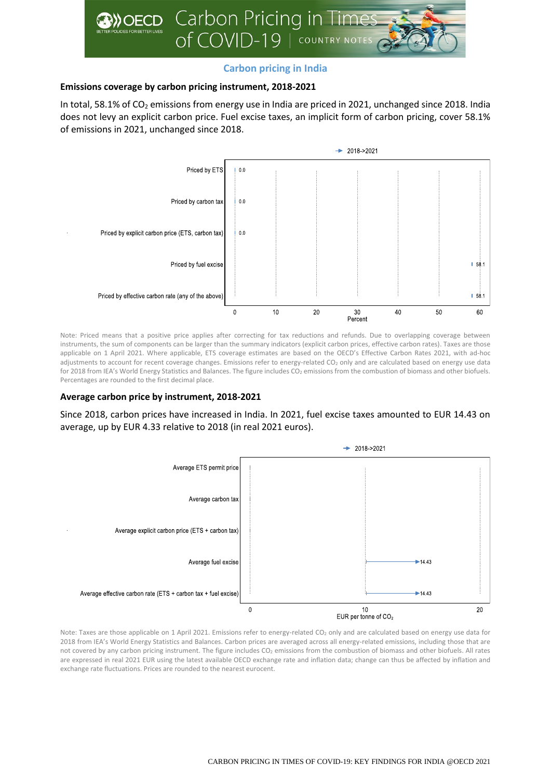

# **Carbon pricing in India**

## **Emissions coverage by carbon pricing instrument, 2018-2021**

In total, 58.1% of CO<sub>2</sub> emissions from energy use in India are priced in 2021, unchanged since 2018. India does not levy an explicit carbon price. Fuel excise taxes, an implicit form of carbon pricing, cover 58.1% of emissions in 2021, unchanged since 2018.



Note: Priced means that a positive price applies after correcting for tax reductions and refunds. Due to overlapping coverage between instruments, the sum of components can be larger than the summary indicators (explicit carbon prices, effective carbon rates). Taxes are those applicable on 1 April 2021. Where applicable, ETS coverage estimates are based on the OECD's Effective Carbon Rates 2021, with ad-hoc adjustments to account for recent coverage changes. Emissions refer to energy-related CO<sub>2</sub> only and are calculated based on energy use data for 2018 from IEA's World Energy Statistics and Balances. The figure includes CO<sub>2</sub> emissions from the combustion of biomass and other biofuels. Percentages are rounded to the first decimal place.

## **Average carbon price by instrument, 2018-2021**

Since 2018, carbon prices have increased in India. In 2021, fuel excise taxes amounted to EUR 14.43 on average, up by EUR 4.33 relative to 2018 (in real 2021 euros).



Note: Taxes are those applicable on 1 April 2021. Emissions refer to energy-related CO<sub>2</sub> only and are calculated based on energy use data for 2018 from IEA's World Energy Statistics and Balances. Carbon prices are averaged across all energy-related emissions, including those that are not covered by any carbon pricing instrument. The figure includes CO<sub>2</sub> emissions from the combustion of biomass and other biofuels. All rates are expressed in real 2021 EUR using the latest available OECD exchange rate and inflation data; change can thus be affected by inflation and exchange rate fluctuations. Prices are rounded to the nearest eurocent.